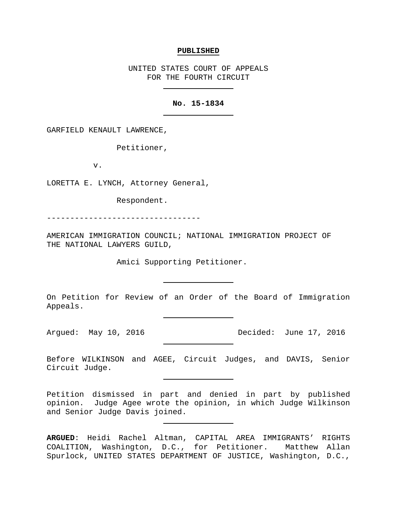#### **PUBLISHED**

UNITED STATES COURT OF APPEALS FOR THE FOURTH CIRCUIT

## **No. 15-1834**

GARFIELD KENAULT LAWRENCE,

Petitioner,

v.

LORETTA E. LYNCH, Attorney General,

Respondent.

---------------------------------

AMERICAN IMMIGRATION COUNCIL; NATIONAL IMMIGRATION PROJECT OF THE NATIONAL LAWYERS GUILD,

Amici Supporting Petitioner.

On Petition for Review of an Order of the Board of Immigration Appeals.

Arqued: May 10, 2016 **Decided:** June 17, 2016

Before WILKINSON and AGEE, Circuit Judges, and DAVIS, Senior Circuit Judge.

Petition dismissed in part and denied in part by published<br>opinion. Judge Agee wrote the opinion, in which Judge Wilkinson Judge Agee wrote the opinion, in which Judge Wilkinson and Senior Judge Davis joined.

**ARGUED**: Heidi Rachel Altman, CAPITAL AREA IMMIGRANTS' RIGHTS COALITION, Washington, D.C., for Petitioner. Matthew Allan Spurlock, UNITED STATES DEPARTMENT OF JUSTICE, Washington, D.C.,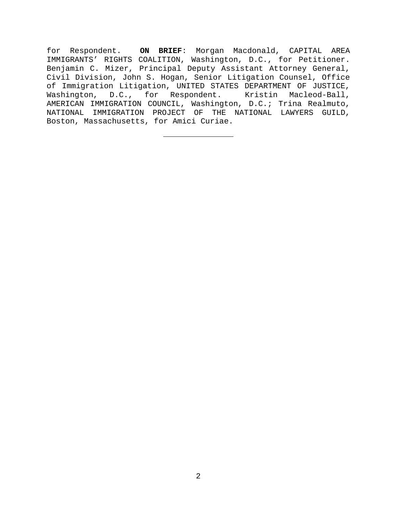for Respondent. **ON BRIEF**: Morgan Macdonald, CAPITAL AREA IMMIGRANTS' RIGHTS COALITION, Washington, D.C., for Petitioner. Benjamin C. Mizer, Principal Deputy Assistant Attorney General, Civil Division, John S. Hogan, Senior Litigation Counsel, Office of Immigration Litigation, UNITED STATES DEPARTMENT OF JUSTICE, Washington, D.C., for Respondent. Kristin Macleod-Ball, AMERICAN IMMIGRATION COUNCIL, Washington, D.C.; Trina Realmuto, NATIONAL IMMIGRATION PROJECT OF THE NATIONAL LAWYERS GUILD, Boston, Massachusetts, for Amici Curiae.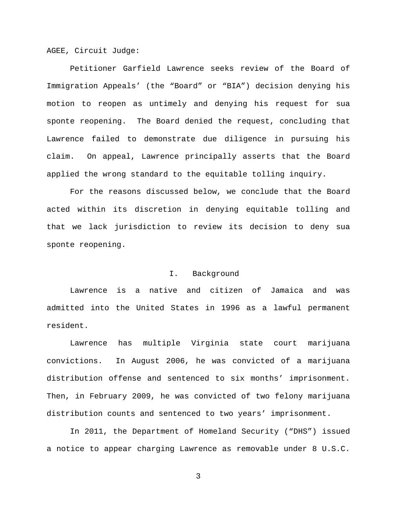AGEE, Circuit Judge:

Petitioner Garfield Lawrence seeks review of the Board of Immigration Appeals' (the "Board" or "BIA") decision denying his motion to reopen as untimely and denying his request for sua sponte reopening. The Board denied the request, concluding that Lawrence failed to demonstrate due diligence in pursuing his claim. On appeal, Lawrence principally asserts that the Board applied the wrong standard to the equitable tolling inquiry.

For the reasons discussed below, we conclude that the Board acted within its discretion in denying equitable tolling and that we lack jurisdiction to review its decision to deny sua sponte reopening.

# I. Background

Lawrence is a native and citizen of Jamaica and was admitted into the United States in 1996 as a lawful permanent resident.

Lawrence has multiple Virginia state court marijuana convictions. In August 2006, he was convicted of a marijuana distribution offense and sentenced to six months' imprisonment. Then, in February 2009, he was convicted of two felony marijuana distribution counts and sentenced to two years' imprisonment.

In 2011, the Department of Homeland Security ("DHS") issued a notice to appear charging Lawrence as removable under 8 U.S.C.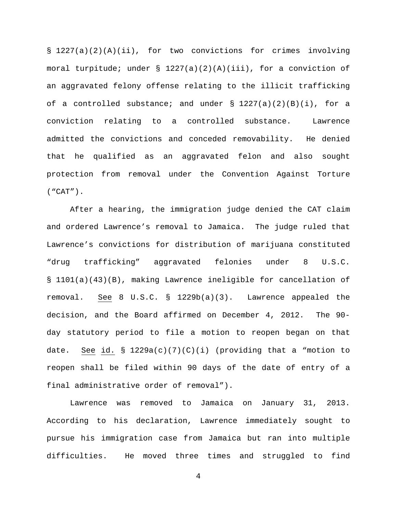§ 1227(a)(2)(A)(ii), for two convictions for crimes involving moral turpitude; under § 1227(a)(2)(A)(iii), for a conviction of an aggravated felony offense relating to the illicit trafficking of a controlled substance; and under  $\S$  1227(a)(2)(B)(i), for a conviction relating to a controlled substance. Lawrence admitted the convictions and conceded removability. He denied that he qualified as an aggravated felon and also sought protection from removal under the Convention Against Torture ("CAT").

After a hearing, the immigration judge denied the CAT claim and ordered Lawrence's removal to Jamaica. The judge ruled that Lawrence's convictions for distribution of marijuana constituted "drug trafficking" aggravated felonies under 8 U.S.C. § 1101(a)(43)(B), making Lawrence ineligible for cancellation of removal. See 8 U.S.C. § 1229b(a)(3). Lawrence appealed the decision, and the Board affirmed on December 4, 2012. The 90 day statutory period to file a motion to reopen began on that date. See id. § 1229a(c)(7)(C)(i) (providing that a "motion to reopen shall be filed within 90 days of the date of entry of a final administrative order of removal").

Lawrence was removed to Jamaica on January 31, 2013. According to his declaration, Lawrence immediately sought to pursue his immigration case from Jamaica but ran into multiple difficulties. He moved three times and struggled to find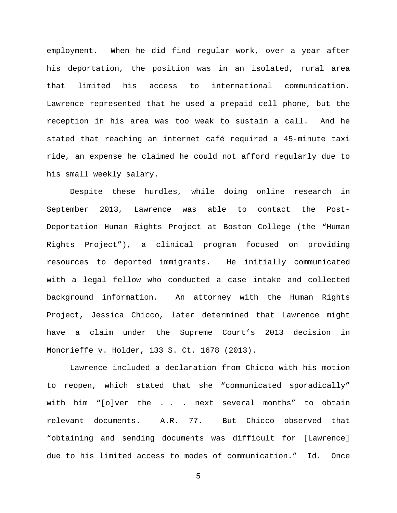employment. When he did find regular work, over a year after his deportation, the position was in an isolated, rural area that limited his access to international communication. Lawrence represented that he used a prepaid cell phone, but the reception in his area was too weak to sustain a call. And he stated that reaching an internet café required a 45-minute taxi ride, an expense he claimed he could not afford regularly due to his small weekly salary.

Despite these hurdles, while doing online research in September 2013, Lawrence was able to contact the Post-Deportation Human Rights Project at Boston College (the "Human Rights Project"), a clinical program focused on providing resources to deported immigrants. He initially communicated with a legal fellow who conducted a case intake and collected background information. An attorney with the Human Rights Project, Jessica Chicco, later determined that Lawrence might have a claim under the Supreme Court's 2013 decision in Moncrieffe v. Holder, 133 S. Ct. 1678 (2013).

Lawrence included a declaration from Chicco with his motion to reopen, which stated that she "communicated sporadically" with him "[o]ver the . . . next several months" to obtain relevant documents. A.R. 77. But Chicco observed that "obtaining and sending documents was difficult for [Lawrence] due to his limited access to modes of communication." Id. Once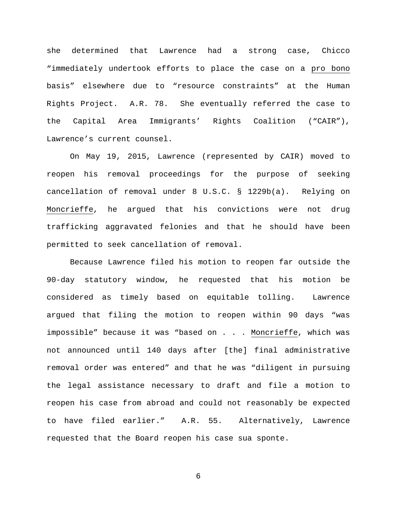she determined that Lawrence had a strong case, Chicco "immediately undertook efforts to place the case on a pro bono basis" elsewhere due to "resource constraints" at the Human Rights Project. A.R. 78. She eventually referred the case to the Capital Area Immigrants' Rights Coalition ("CAIR"), Lawrence's current counsel.

On May 19, 2015, Lawrence (represented by CAIR) moved to reopen his removal proceedings for the purpose of seeking cancellation of removal under 8 U.S.C. § 1229b(a). Relying on Moncrieffe, he argued that his convictions were not drug trafficking aggravated felonies and that he should have been permitted to seek cancellation of removal.

Because Lawrence filed his motion to reopen far outside the 90-day statutory window, he requested that his motion be considered as timely based on equitable tolling. Lawrence argued that filing the motion to reopen within 90 days "was impossible" because it was "based on . . . Moncrieffe, which was not announced until 140 days after [the] final administrative removal order was entered" and that he was "diligent in pursuing the legal assistance necessary to draft and file a motion to reopen his case from abroad and could not reasonably be expected to have filed earlier." A.R. 55. Alternatively, Lawrence requested that the Board reopen his case sua sponte.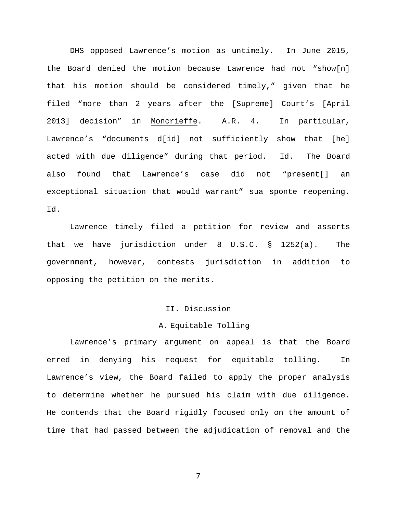DHS opposed Lawrence's motion as untimely. In June 2015, the Board denied the motion because Lawrence had not "show[n] that his motion should be considered timely," given that he filed "more than 2 years after the [Supreme] Court's [April 2013] decision" in Moncrieffe. A.R. 4. In particular, Lawrence's "documents d[id] not sufficiently show that [he] acted with due diligence" during that period. Id. The Board also found that Lawrence's case did not "present[] an exceptional situation that would warrant" sua sponte reopening. Id.

Lawrence timely filed a petition for review and asserts that we have jurisdiction under 8 U.S.C. § 1252(a). The government, however, contests jurisdiction in addition to opposing the petition on the merits.

### II. Discussion

### A. Equitable Tolling

Lawrence's primary argument on appeal is that the Board erred in denying his request for equitable tolling. In Lawrence's view, the Board failed to apply the proper analysis to determine whether he pursued his claim with due diligence. He contends that the Board rigidly focused only on the amount of time that had passed between the adjudication of removal and the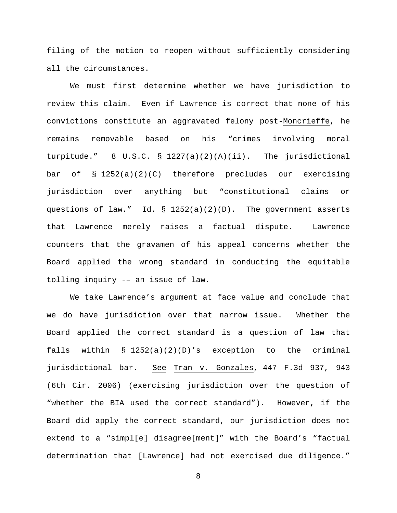filing of the motion to reopen without sufficiently considering all the circumstances.

We must first determine whether we have jurisdiction to review this claim. Even if Lawrence is correct that none of his convictions constitute an aggravated felony post-Moncrieffe, he remains removable based on his "crimes involving moral turpitude." 8 U.S.C. § 1227(a)(2)(A)(ii). The jurisdictional bar of § 1252(a)(2)(C) therefore precludes our exercising jurisdiction over anything but "constitutional claims or questions of law." Id. § 1252(a)(2)(D). The government asserts that Lawrence merely raises a factual dispute. Lawrence counters that the gravamen of his appeal concerns whether the Board applied the wrong standard in conducting the equitable tolling inquiry -– an issue of law.

We take Lawrence's argument at face value and conclude that we do have jurisdiction over that narrow issue. Whether the Board applied the correct standard is a question of law that falls within § 1252(a)(2)(D)'s exception to the criminal jurisdictional bar. See Tran v. Gonzales, [447 F.3d 937, 943](https://1.next.westlaw.com/Link/Document/FullText?findType=Y&serNum=2009168400&pubNum=506&originatingDoc=Ic68d3b05ec8a11deae65b23e804c3c12&refType=RP&fi=co_pp_sp_506_943&originationContext=document&transitionType=DocumentItem&contextData=(sc.UserEnteredCitation)#co_pp_sp_506_943)  [\(6th Cir.](https://1.next.westlaw.com/Link/Document/FullText?findType=Y&serNum=2009168400&pubNum=506&originatingDoc=Ic68d3b05ec8a11deae65b23e804c3c12&refType=RP&fi=co_pp_sp_506_943&originationContext=document&transitionType=DocumentItem&contextData=(sc.UserEnteredCitation)#co_pp_sp_506_943) 2006) (exercising jurisdiction over the question of "whether the BIA used the correct standard"). However, if the Board did apply the correct standard, our jurisdiction does not extend to a "simpl[e] disagree[ment]" with the Board's "factual determination that [Lawrence] had not exercised due diligence."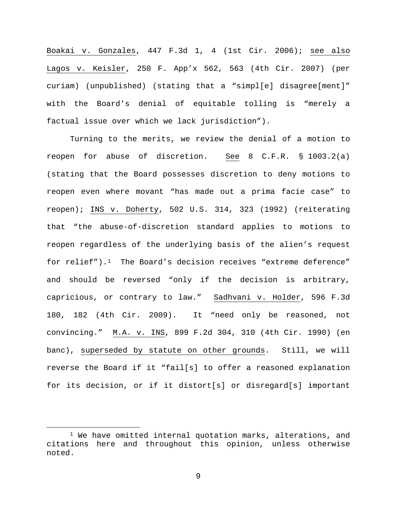Boakai v. Gonzales, 447 F.3d 1, 4 (1st Cir. 2006); see also Lagos v. Keisler, 250 F. App'x 562, 563 (4th Cir. 2007) (per curiam) (unpublished) (stating that a "simpl[e] disagree[ment]" with the Board's denial of equitable tolling is "merely a factual issue over which we lack jurisdiction").

Turning to the merits, we review the denial of a motion to reopen for abuse of discretion. See 8 C.F.R. § 1003.2(a) (stating that the Board possesses discretion to deny motions to reopen even where movant "has made out a prima facie case" to reopen); INS v. Doherty, 502 U.S. 314, 323 (1992) (reiterating that "the abuse-of-discretion standard applies to motions to reopen regardless of the underlying basis of the alien's request for relief").[1](#page-8-0) The Board's decision receives "extreme deference" and should be reversed "only if the decision is arbitrary, capricious, or contrary to law." Sadhvani v. Holder, 596 F.3d 180, 182 (4th Cir. 2009). It "need only be reasoned, not convincing." M.A. v. INS, 899 F.2d 304, 310 (4th Cir. 1990) (en banc), superseded by statute on other grounds. Still, we will reverse the Board if it "fail[s] to offer a reasoned explanation for its decision, or if it distort[s] or disregard[s] important

<span id="page-8-0"></span> $1$  We have omitted internal quotation marks, alterations, and citations here and throughout this opinion, unless otherwise noted.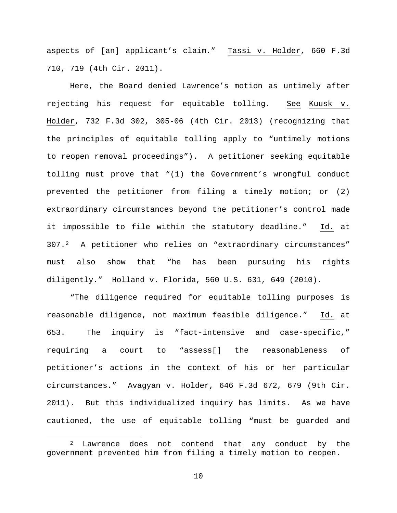aspects of [an] applicant's claim." Tassi v. Holder, 660 F.3d 710, 719 (4th Cir. 2011).

Here, the Board denied Lawrence's motion as untimely after rejecting his request for equitable tolling. See Kuusk v. Holder, 732 F.3d 302, 305-06 (4th Cir. 2013) (recognizing that the principles of equitable tolling apply to "untimely motions to reopen removal proceedings"). A petitioner seeking equitable tolling must prove that "(1) the Government's wrongful conduct prevented the petitioner from filing a timely motion; or (2) extraordinary circumstances beyond the petitioner's control made it impossible to file within the statutory deadline." Id. at 307.[2](#page-9-0) A petitioner who relies on "extraordinary circumstances" must also show that "he has been pursuing his rights diligently." Holland v. Florida, 560 U.S. 631, 649 (2010).

"The diligence required for equitable tolling purposes is reasonable diligence, not maximum feasible diligence." Id. at 653. The inquiry is "fact-intensive and case-specific," requiring a court to "assess[] the reasonableness of petitioner's actions in the context of his or her particular circumstances." Avagyan v. Holder, 646 F.3d 672, 679 (9th Cir. 2011). But this individualized inquiry has limits. As we have cautioned, the use of equitable tolling "must be guarded and

<span id="page-9-0"></span><sup>&</sup>lt;sup>2</sup> Lawrence does not contend that any conduct by the government prevented him from filing a timely motion to reopen.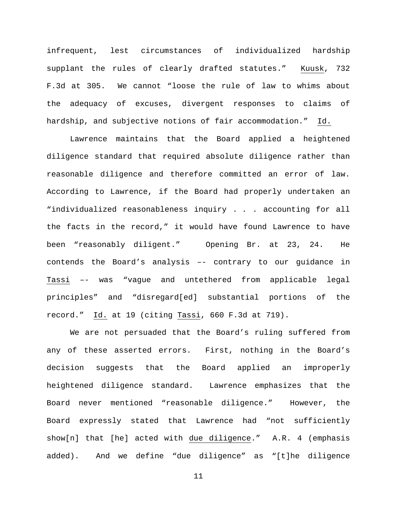infrequent, lest circumstances of individualized hardship supplant the rules of clearly drafted statutes." Kuusk, 732 F.3d at 305. We cannot "loose the rule of law to whims about the adequacy of excuses, divergent responses to claims of hardship, and subjective notions of fair accommodation." Id.

Lawrence maintains that the Board applied a heightened diligence standard that required absolute diligence rather than reasonable diligence and therefore committed an error of law. According to Lawrence, if the Board had properly undertaken an "individualized reasonableness inquiry . . . accounting for all the facts in the record," it would have found Lawrence to have been "reasonably diligent." Opening Br. at 23, 24. He contends the Board's analysis –- contrary to our guidance in Tassi –- was "vague and untethered from applicable legal principles" and "disregard[ed] substantial portions of the record." Id. at 19 (citing Tassi, 660 F.3d at 719).

We are not persuaded that the Board's ruling suffered from any of these asserted errors. First, nothing in the Board's decision suggests that the Board applied an improperly heightened diligence standard. Lawrence emphasizes that the Board never mentioned "reasonable diligence." However, the Board expressly stated that Lawrence had "not sufficiently show[n] that [he] acted with due diligence." A.R. 4 (emphasis added). And we define "due diligence" as "[t]he diligence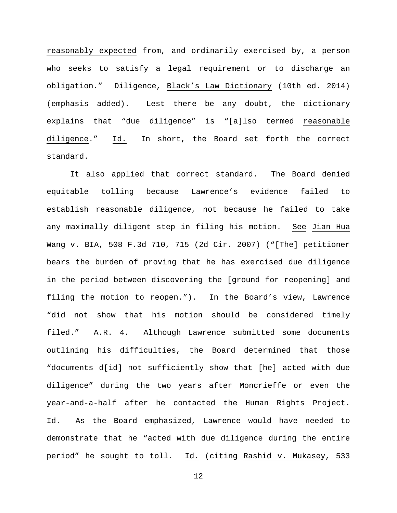reasonably expected from, and ordinarily exercised by, a person who seeks to satisfy a legal requirement or to discharge an obligation." Diligence, Black's Law Dictionary (10th ed. 2014) (emphasis added). Lest there be any doubt, the dictionary explains that "due diligence" is "[a]lso termed reasonable diligence." Id. In short, the Board set forth the correct standard.

It also applied that correct standard. The Board denied equitable tolling because Lawrence's evidence failed to establish reasonable diligence, not because he failed to take any maximally diligent step in filing his motion. See Jian Hua Wang v. BIA, 508 F.3d 710, 715 (2d Cir. 2007) ("[The] petitioner bears the burden of proving that he has exercised due diligence in the period between discovering the [ground for reopening] and filing the motion to reopen."). In the Board's view, Lawrence "did not show that his motion should be considered timely filed." A.R. 4. Although Lawrence submitted some documents outlining his difficulties, the Board determined that those "documents d[id] not sufficiently show that [he] acted with due diligence" during the two years after Moncrieffe or even the year-and-a-half after he contacted the Human Rights Project. Id. As the Board emphasized, Lawrence would have needed to demonstrate that he "acted with due diligence during the entire period" he sought to toll. Id. (citing Rashid v. Mukasey, 533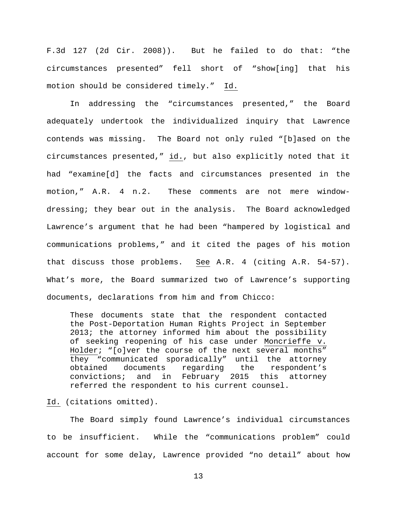F.3d 127 (2d Cir. 2008)). But he failed to do that: "the circumstances presented" fell short of "show[ing] that his motion should be considered timely." Id.

In addressing the "circumstances presented," the Board adequately undertook the individualized inquiry that Lawrence contends was missing. The Board not only ruled "[b]ased on the circumstances presented," id., but also explicitly noted that it had "examine[d] the facts and circumstances presented in the motion," A.R. 4 n.2. These comments are not mere windowdressing; they bear out in the analysis. The Board acknowledged Lawrence's argument that he had been "hampered by logistical and communications problems," and it cited the pages of his motion that discuss those problems. See A.R. 4 (citing A.R. 54-57). What's more, the Board summarized two of Lawrence's supporting documents, declarations from him and from Chicco:

These documents state that the respondent contacted the Post-Deportation Human Rights Project in September 2013; the attorney informed him about the possibility of seeking reopening of his case under Moncrieffe v. Holder; "[o]ver the course of the next several months" they "communicated sporadically" until the attorney<br>obtained documents regarding the respondent's obtained documents regarding the respondent's convictions; and in February 2015 this attorney referred the respondent to his current counsel.

Id. (citations omitted).

The Board simply found Lawrence's individual circumstances to be insufficient. While the "communications problem" could account for some delay, Lawrence provided "no detail" about how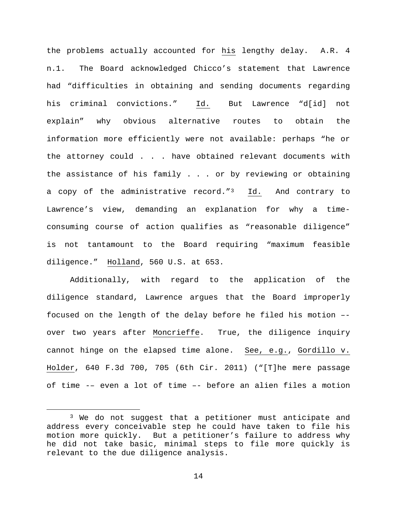the problems actually accounted for his lengthy delay. A.R. 4 n.1. The Board acknowledged Chicco's statement that Lawrence had "difficulties in obtaining and sending documents regarding his criminal convictions." Id. But Lawrence "d[id] not explain" why obvious alternative routes to obtain the information more efficiently were not available: perhaps "he or the attorney could . . . have obtained relevant documents with the assistance of his family . . . or by reviewing or obtaining a copy of the administrative record." $3$  Id. And contrary to Lawrence's view, demanding an explanation for why a timeconsuming course of action qualifies as "reasonable diligence" is not tantamount to the Board requiring "maximum feasible diligence." Holland, 560 U.S. at 653.

Additionally, with regard to the application of the diligence standard, Lawrence argues that the Board improperly focused on the length of the delay before he filed his motion – over two years after Moncrieffe. True, the diligence inquiry cannot hinge on the elapsed time alone. See, e.g., Gordillo v. Holder, 640 F.3d 700, 705 (6th Cir. 2011) ("[T]he mere passage of time -– even a lot of time –- before an alien files a motion

<span id="page-13-0"></span><sup>&</sup>lt;sup>3</sup> We do not suggest that a petitioner must anticipate and address every conceivable step he could have taken to file his motion more quickly. But a petitioner's failure to address why he did not take basic, minimal steps to file more quickly is relevant to the due diligence analysis.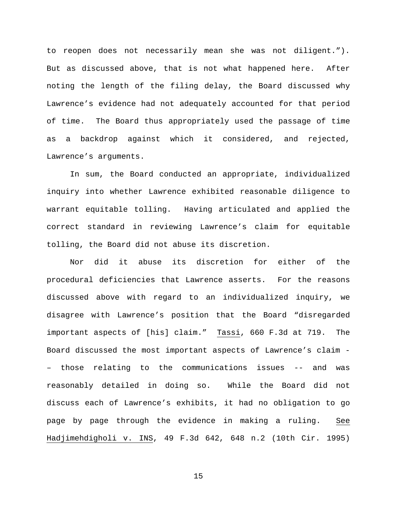to reopen does not necessarily mean she was not diligent."). But as discussed above, that is not what happened here. After noting the length of the filing delay, the Board discussed why Lawrence's evidence had not adequately accounted for that period of time. The Board thus appropriately used the passage of time as a backdrop against which it considered, and rejected, Lawrence's arguments.

In sum, the Board conducted an appropriate, individualized inquiry into whether Lawrence exhibited reasonable diligence to warrant equitable tolling. Having articulated and applied the correct standard in reviewing Lawrence's claim for equitable tolling, the Board did not abuse its discretion.

Nor did it abuse its discretion for either of the procedural deficiencies that Lawrence asserts. For the reasons discussed above with regard to an individualized inquiry, we disagree with Lawrence's position that the Board "disregarded important aspects of [his] claim." Tassi, 660 F.3d at 719. The Board discussed the most important aspects of Lawrence's claim - – those relating to the communications issues -- and was reasonably detailed in doing so. While the Board did not discuss each of Lawrence's exhibits, it had no obligation to go page by page through the evidence in making a ruling. See Hadjimehdigholi v. INS, 49 F.3d 642, 648 n.2 (10th Cir. 1995)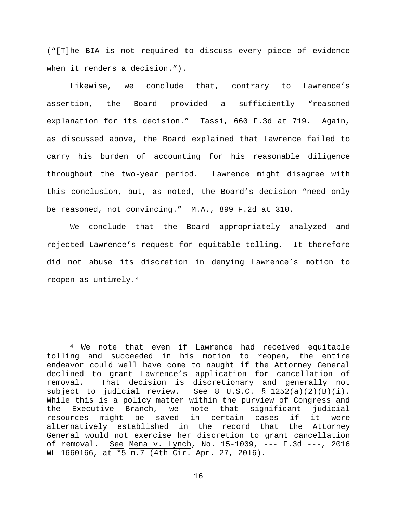("[T]he BIA is not required to discuss every piece of evidence when it renders a decision.").

Likewise, we conclude that, contrary to Lawrence's assertion, the Board provided a sufficiently "reasoned explanation for its decision." Tassi, 660 F.3d at 719. Again, as discussed above, the Board explained that Lawrence failed to carry his burden of accounting for his reasonable diligence throughout the two-year period. Lawrence might disagree with this conclusion, but, as noted, the Board's decision "need only be reasoned, not convincing." M.A., 899 F.2d at 310.

We conclude that the Board appropriately analyzed and rejected Lawrence's request for equitable tolling. It therefore did not abuse its discretion in denying Lawrence's motion to reopen as untimely.[4](#page-15-0)

<span id="page-15-0"></span><sup>&</sup>lt;sup>4</sup> We note that even if Lawrence had received equitable tolling and succeeded in his motion to reopen, the entire endeavor could well have come to naught if the Attorney General declined to grant Lawrence's application for cancellation of removal. That decision is discretionary and generally not subject to judicial review. See 8 U.S.C.  $\S$  1252(a)(2)(B)(i). See 8 U.S.C. § 1252(a)(2)(B)(i). While this is a policy matter within the purview of Congress and<br>the Executive Branch, we note that significant judicial the Executive Branch, we note that significant<br>resources might be saved in certain cases if resources might be saved in certain cases if it were alternatively established in the record that the Attorney General would not exercise her discretion to grant cancellation of removal. See Mena v. Lynch, No. 15-1009, --- F.3d ---, 2016 WL 1660166, at \*5 n.7 (4th Cir. Apr. 27, 2016).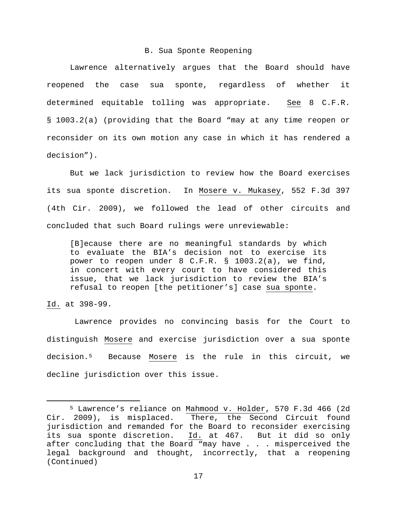#### B. Sua Sponte Reopening

Lawrence alternatively argues that the Board should have reopened the case sua sponte, regardless of whether it determined equitable tolling was appropriate. See 8 C.F.R. § 1003.2(a) (providing that the Board "may at any time reopen or reconsider on its own motion any case in which it has rendered a decision").

But we lack jurisdiction to review how the Board exercises its sua sponte discretion. In Mosere v. Mukasey, 552 F.3d 397 (4th Cir. 2009), we followed the lead of other circuits and concluded that such Board rulings were unreviewable:

[B]ecause there are no meaningful standards by which to evaluate the BIA's decision not to exercise its power to reopen under 8 C.F.R. § 1003.2(a), we find, in concert with every court to have considered this issue, that we lack jurisdiction to review the BIA's refusal to reopen [the petitioner's] case sua sponte.

Id. at 398-99.

Lawrence provides no convincing basis for the Court to distinguish Mosere and exercise jurisdiction over a sua sponte decision.[5](#page-16-0) Because Mosere is the rule in this circuit, we decline jurisdiction over this issue.

<span id="page-16-0"></span><sup>&</sup>lt;sup>5</sup> Lawrence's reliance on <u>Mahmood v. Holder</u>, 570 F.3d 466 (2d<br>Cir. 2009), is misplaced. There, the Second Circuit found There, the Second Circuit found jurisdiction and remanded for the Board to reconsider exercising its sua sponte discretion. Id. at 467. But it did so only after concluding that the Board "may have  $\ldots$  . misperceived the legal background and thought, incorrectly, that a reopening (Continued)